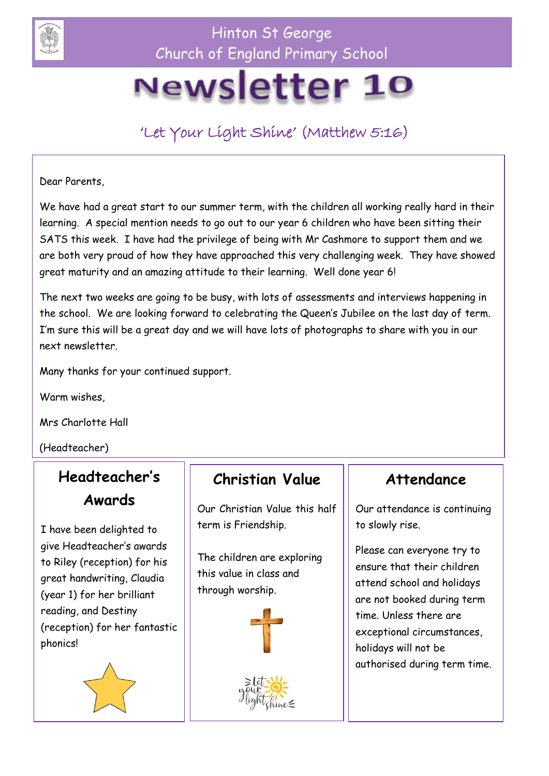

Hinton St George Church of England Primary School

# Newsletter 10

'Let Your Light Shine' (Matthew 5:16)

Dear Parents,

We have had a great start to our summer term, with the children all working really hard in their learning. A special mention needs to go out to our year 6 children who have been sitting their SATS this week. I have had the privilege of being with Mr Cashmore to support them and we are both very proud of how they have approached this very challenging week. They have showed great maturity and an amazing attitude to their learning. Well done year 6!

The next two weeks are going to be busy, with lots of assessments and interviews happening in the school. We are looking forward to celebrating the Queen's Jubilee on the last day of term. I'm sure this will be a great day and we will have lots of photographs to share with you in our next newsletter.

Many thanks for your continued support.

Warm wishes,

Mrs Charlotte Hall

(Headteacher)

## **Headteacher's Awards**

I have been delighted to give Headteacher's awards to Riley (reception) for his great handwriting, Claudia (year 1) for her brilliant reading, and Destiny (reception) for her fantastic phonics!



## **Christian Value**

Our Christian Value this half term is Friendship.

The children are exploring this value in class and through worship.





#### **Attendance**

Our attendance is continuing to slowly rise.

Please can everyone try to ensure that their children attend school and holidays are not booked during term time. Unless there are exceptional circumstances, holidays will not be authorised during term time.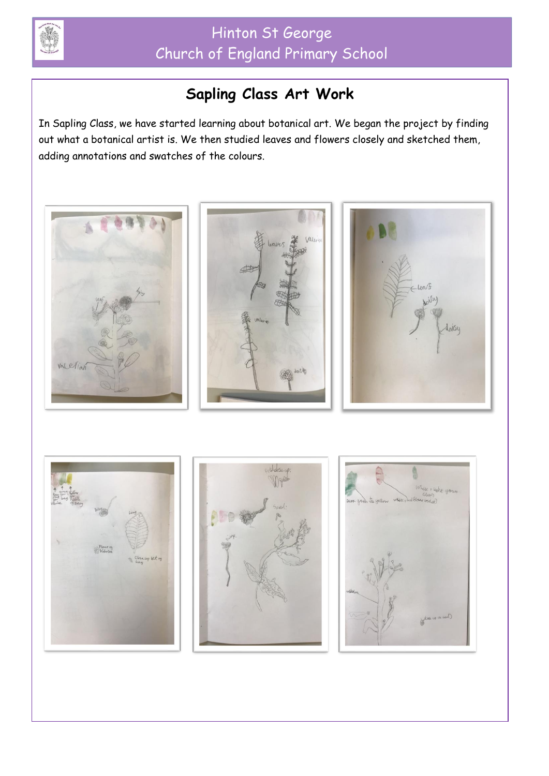

# **Sapling Class Art Work**

In Sapling Class, we have started learning about botanical art. We began the project by finding out what a botanical artist is. We then studied leaves and flowers closely and sketched them, adding annotations and swatches of the colours.

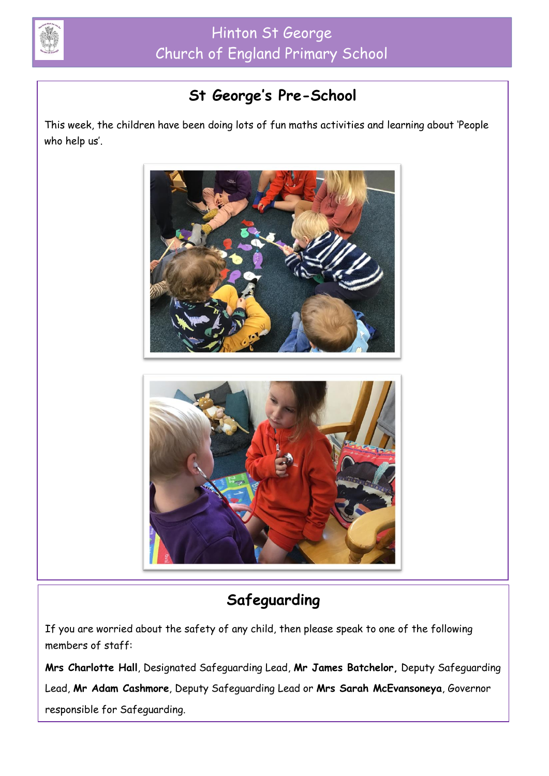

# **St George's Pre-School**

This week, the children have been doing lots of fun maths activities and learning about 'People who help us'.



# **Safeguarding**

If you are worried about the safety of any child, then please speak to one of the following members of staff:

**Mrs Charlotte Hall**, Designated Safeguarding Lead, **Mr James Batchelor,** Deputy Safeguarding Lead, **Mr Adam Cashmore**, Deputy Safeguarding Lead or **Mrs Sarah McEvansoneya**, Governor responsible for Safeguarding.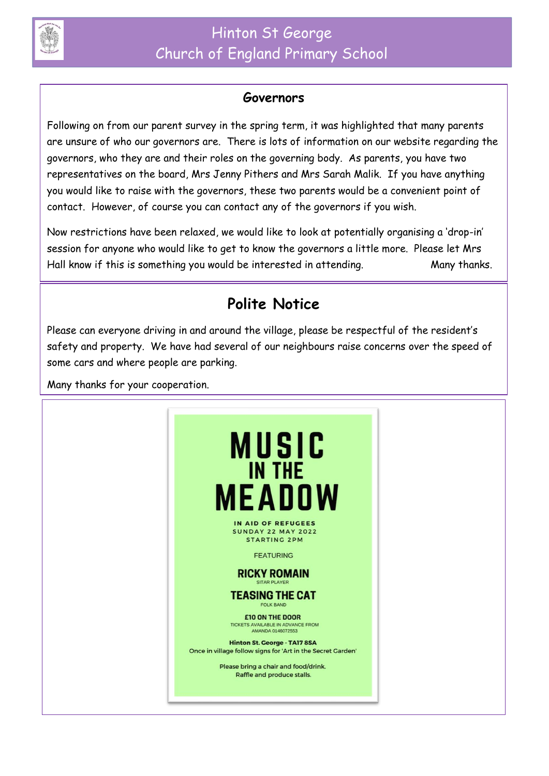

#### **Governors**

Following on from our parent survey in the spring term, it was highlighted that many parents are unsure of who our governors are. There is lots of information on our website regarding the governors, who they are and their roles on the governing body. As parents, you have two representatives on the board, Mrs Jenny Pithers and Mrs Sarah Malik. If you have anything you would like to raise with the governors, these two parents would be a convenient point of contact. However, of course you can contact any of the governors if you wish.

Now restrictions have been relaxed, we would like to look at potentially organising a 'drop-in' session for anyone who would like to get to know the governors a little more. Please let Mrs Hall know if this is something you would be interested in attending. Many thanks.

## **Polite Notice**

Please can everyone driving in and around the village, please be respectful of the resident's safety and property. We have had several of our neighbours raise concerns over the speed of some cars and where people are parking.

Many thanks for your cooperation.